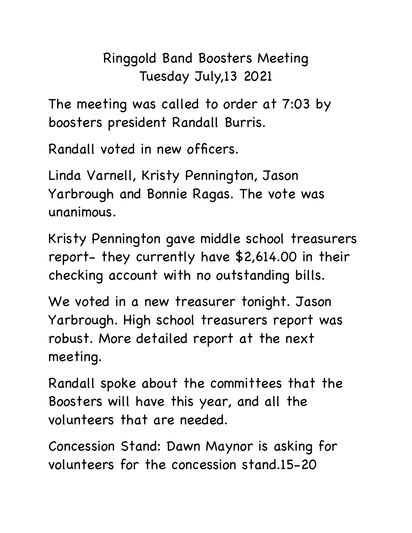## Ringgold Band Boosters Meeting Tuesday July,13 2021

The meeting was called to order at 7:03 by boosters president Randall Burris.

Randall voted in new officers.

Linda Varnell, Kristy Pennington, Jason Yarbrough and Bonnie Ragas. The vote was unanimous.

Kristy Pennington gave middle school treasurers report- they currently have \$2,614.00 in their checking account with no outstanding bills.

We voted in a new treasurer tonight. Jason Yarbrough. High school treasurers report was robust. More detailed report at the next meeting.

Randall spoke about the committees that the Boosters will have this year, and all the volunteers that are needed.

Concession Stand: Dawn Maynor is asking for volunteers for the concession stand.15-20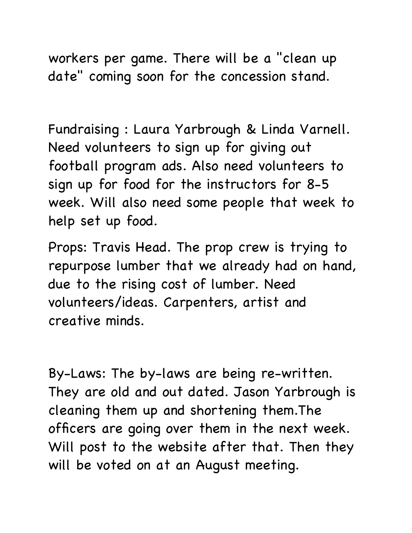workers per game. There will be a "clean up date" coming soon for the concession stand.

Fundraising : Laura Yarbrough & Linda Varnell. Need volunteers to sign up for giving out football program ads. Also need volunteers to sign up for food for the instructors for 8-5 week. Will also need some people that week to help set up food.

Props: Travis Head. The prop crew is trying to repurpose lumber that we already had on hand, due to the rising cost of lumber. Need volunteers/ideas. Carpenters, artist and creative minds.

By-Laws: The by-laws are being re-written. They are old and out dated. Jason Yarbrough is cleaning them up and shortening them.The officers are going over them in the next week. Will post to the website after that. Then they will be voted on at an August meeting.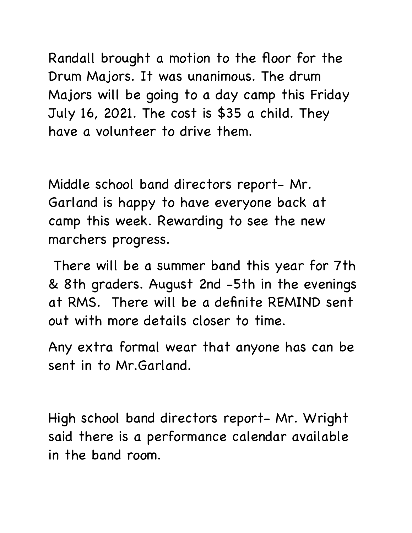Randall brought a motion to the floor for the Drum Majors. It was unanimous. The drum Majors will be going to a day camp this Friday July 16, 2021. The cost is \$35 a child. They have a volunteer to drive them.

Middle school band directors report- Mr. Garland is happy to have everyone back at camp this week. Rewarding to see the new marchers progress.

 There will be a summer band this year for 7th & 8th graders. August 2nd -5th in the evenings at RMS. There will be a definite REMIND sent out with more details closer to time.

Any extra formal wear that anyone has can be sent in to Mr.Garland.

High school band directors report- Mr. Wright said there is a performance calendar available in the band room.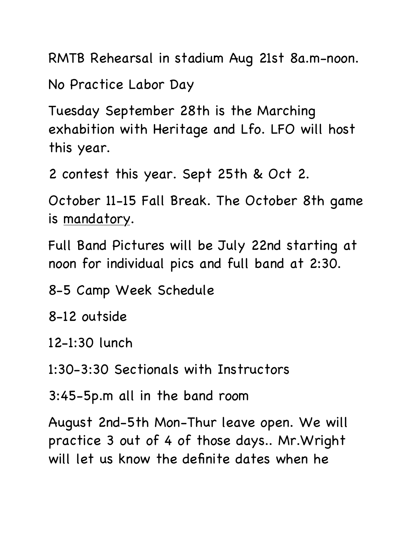RMTB Rehearsal in stadium Aug 21st 8a.m-noon.

No Practice Labor Day

Tuesday September 28th is the Marching exhabition with Heritage and Lfo. LFO will host this year.

2 contest this year. Sept 25th & Oct 2.

October 11-15 Fall Break. The October 8th game is mandatory.

Full Band Pictures will be July 22nd starting at noon for individual pics and full band at 2:30.

8-5 Camp Week Schedule

8-12 outside

12-1:30 lunch

1:30-3:30 Sectionals with Instructors

3:45-5p.m all in the band room

August 2nd-5th Mon-Thur leave open. We will practice 3 out of 4 of those days.. Mr.Wright will let us know the definite dates when he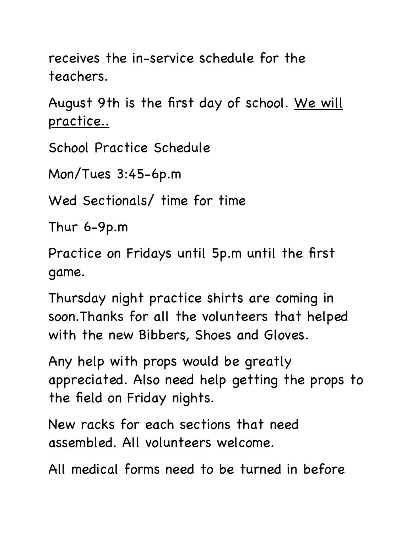receives the in-service schedule for the teachers.

August 9th is the first day of school. We will practice..

School Practice Schedule

Mon/Tues 3:45-6p.m

Wed Sectionals/ time for time

Thur 6-9p.m

Practice on Fridays until 5p.m until the first game.

Thursday night practice shirts are coming in soon.Thanks for all the volunteers that helped with the new Bibbers, Shoes and Gloves.

Any help with props would be greatly appreciated. Also need help getting the props to the field on Friday nights.

New racks for each sections that need assembled. All volunteers welcome.

All medical forms need to be turned in before